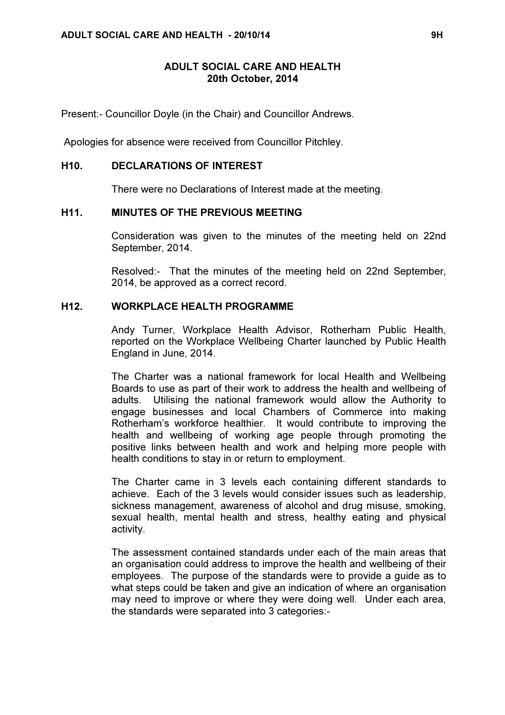### ADULT SOCIAL CARE AND HEALTH 20th October, 2014

Present:- Councillor Doyle (in the Chair) and Councillor Andrews.

Apologies for absence were received from Councillor Pitchley.

#### H10. DECLARATIONS OF INTEREST

There were no Declarations of Interest made at the meeting.

### H11. MINUTES OF THE PREVIOUS MEETING

 Consideration was given to the minutes of the meeting held on 22nd September, 2014.

Resolved:- That the minutes of the meeting held on 22nd September, 2014, be approved as a correct record.

#### H12. WORKPLACE HEALTH PROGRAMME

 Andy Turner, Workplace Health Advisor, Rotherham Public Health, reported on the Workplace Wellbeing Charter launched by Public Health England in June, 2014.

The Charter was a national framework for local Health and Wellbeing Boards to use as part of their work to address the health and wellbeing of adults. Utilising the national framework would allow the Authority to engage businesses and local Chambers of Commerce into making Rotherham's workforce healthier. It would contribute to improving the health and wellbeing of working age people through promoting the positive links between health and work and helping more people with health conditions to stay in or return to employment.

The Charter came in 3 levels each containing different standards to achieve. Each of the 3 levels would consider issues such as leadership, sickness management, awareness of alcohol and drug misuse, smoking, sexual health, mental health and stress, healthy eating and physical activity.

The assessment contained standards under each of the main areas that an organisation could address to improve the health and wellbeing of their employees. The purpose of the standards were to provide a guide as to what steps could be taken and give an indication of where an organisation may need to improve or where they were doing well. Under each area, the standards were separated into 3 categories:-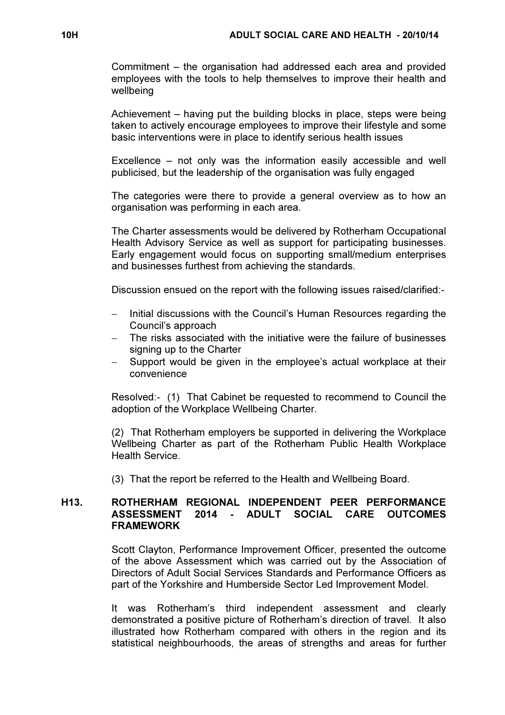Commitment – the organisation had addressed each area and provided employees with the tools to help themselves to improve their health and wellbeing

Achievement – having put the building blocks in place, steps were being taken to actively encourage employees to improve their lifestyle and some basic interventions were in place to identify serious health issues

Excellence – not only was the information easily accessible and well publicised, but the leadership of the organisation was fully engaged

The categories were there to provide a general overview as to how an organisation was performing in each area.

The Charter assessments would be delivered by Rotherham Occupational Health Advisory Service as well as support for participating businesses. Early engagement would focus on supporting small/medium enterprises and businesses furthest from achieving the standards.

Discussion ensued on the report with the following issues raised/clarified:-

- − Initial discussions with the Council's Human Resources regarding the Council's approach
- − The risks associated with the initiative were the failure of businesses signing up to the Charter
- Support would be given in the employee's actual workplace at their convenience

Resolved:- (1) That Cabinet be requested to recommend to Council the adoption of the Workplace Wellbeing Charter.

(2) That Rotherham employers be supported in delivering the Workplace Wellbeing Charter as part of the Rotherham Public Health Workplace Health Service.

(3) That the report be referred to the Health and Wellbeing Board.

# H13. ROTHERHAM REGIONAL INDEPENDENT PEER PERFORMANCE ASSESSMENT 2014 - ADULT SOCIAL CARE OUTCOMES FRAMEWORK

 Scott Clayton, Performance Improvement Officer, presented the outcome of the above Assessment which was carried out by the Association of Directors of Adult Social Services Standards and Performance Officers as part of the Yorkshire and Humberside Sector Led Improvement Model.

It was Rotherham's third independent assessment and clearly demonstrated a positive picture of Rotherham's direction of travel. It also illustrated how Rotherham compared with others in the region and its statistical neighbourhoods, the areas of strengths and areas for further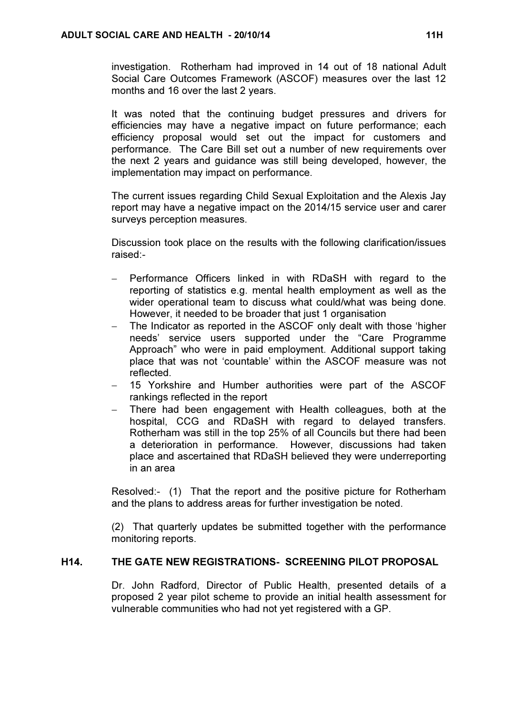investigation. Rotherham had improved in 14 out of 18 national Adult Social Care Outcomes Framework (ASCOF) measures over the last 12 months and 16 over the last 2 years.

It was noted that the continuing budget pressures and drivers for efficiencies may have a negative impact on future performance; each efficiency proposal would set out the impact for customers and performance. The Care Bill set out a number of new requirements over the next 2 years and guidance was still being developed, however, the implementation may impact on performance.

The current issues regarding Child Sexual Exploitation and the Alexis Jay report may have a negative impact on the 2014/15 service user and carer surveys perception measures.

Discussion took place on the results with the following clarification/issues raised:-

- − Performance Officers linked in with RDaSH with regard to the reporting of statistics e.g. mental health employment as well as the wider operational team to discuss what could/what was being done. However, it needed to be broader that just 1 organisation
- − The Indicator as reported in the ASCOF only dealt with those 'higher needs' service users supported under the "Care Programme Approach" who were in paid employment. Additional support taking place that was not 'countable' within the ASCOF measure was not reflected.
- 15 Yorkshire and Humber authorities were part of the ASCOF rankings reflected in the report
- There had been engagement with Health colleagues, both at the hospital, CCG and RDaSH with regard to delayed transfers. Rotherham was still in the top 25% of all Councils but there had been a deterioration in performance. However, discussions had taken place and ascertained that RDaSH believed they were underreporting in an area

Resolved:- (1) That the report and the positive picture for Rotherham and the plans to address areas for further investigation be noted.

(2) That quarterly updates be submitted together with the performance monitoring reports.

# H14. THE GATE NEW REGISTRATIONS- SCREENING PILOT PROPOSAL

 Dr. John Radford, Director of Public Health, presented details of a proposed 2 year pilot scheme to provide an initial health assessment for vulnerable communities who had not yet registered with a GP.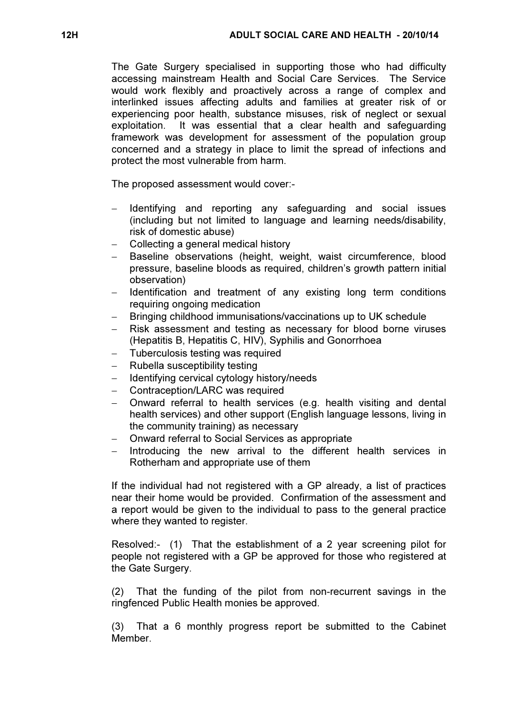The Gate Surgery specialised in supporting those who had difficulty accessing mainstream Health and Social Care Services. The Service would work flexibly and proactively across a range of complex and interlinked issues affecting adults and families at greater risk of or experiencing poor health, substance misuses, risk of neglect or sexual exploitation. It was essential that a clear health and safeguarding framework was development for assessment of the population group concerned and a strategy in place to limit the spread of infections and protect the most vulnerable from harm.

The proposed assessment would cover:-

- Identifying and reporting any safeguarding and social issues (including but not limited to language and learning needs/disability, risk of domestic abuse)
- − Collecting a general medical history
- Baseline observations (height, weight, waist circumference, blood pressure, baseline bloods as required, children's growth pattern initial observation)
- Hentification and treatment of any existing long term conditions requiring ongoing medication
- Bringing childhood immunisations/vaccinations up to UK schedule
- Risk assessment and testing as necessary for blood borne viruses (Hepatitis B, Hepatitis C, HIV), Syphilis and Gonorrhoea
- Tuberculosis testing was required
- Rubella susceptibility testing
- − Identifying cervical cytology history/needs
- − Contraception/LARC was required
- − Onward referral to health services (e.g. health visiting and dental health services) and other support (English language lessons, living in the community training) as necessary
- − Onward referral to Social Services as appropriate
- Introducing the new arrival to the different health services in Rotherham and appropriate use of them

If the individual had not registered with a GP already, a list of practices near their home would be provided. Confirmation of the assessment and a report would be given to the individual to pass to the general practice where they wanted to register.

Resolved:- (1) That the establishment of a 2 year screening pilot for people not registered with a GP be approved for those who registered at the Gate Surgery.

(2) That the funding of the pilot from non-recurrent savings in the ringfenced Public Health monies be approved.

(3) That a 6 monthly progress report be submitted to the Cabinet **Member**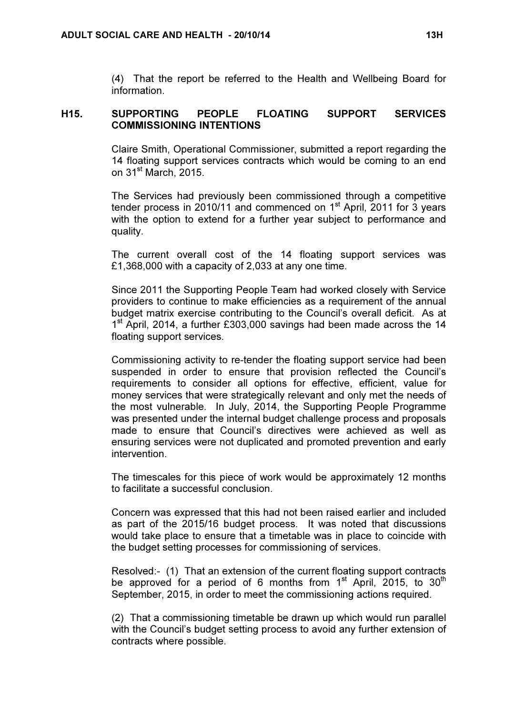(4) That the report be referred to the Health and Wellbeing Board for information.

### H15. SUPPORTING PEOPLE FLOATING SUPPORT SERVICES COMMISSIONING INTENTIONS

 Claire Smith, Operational Commissioner, submitted a report regarding the 14 floating support services contracts which would be coming to an end on 31<sup>st</sup> March, 2015.

The Services had previously been commissioned through a competitive tender process in 2010/11 and commenced on  $1<sup>st</sup>$  April, 2011 for 3 years with the option to extend for a further year subject to performance and quality.

The current overall cost of the 14 floating support services was £1,368,000 with a capacity of 2,033 at any one time.

Since 2011 the Supporting People Team had worked closely with Service providers to continue to make efficiencies as a requirement of the annual budget matrix exercise contributing to the Council's overall deficit. As at 1<sup>st</sup> April, 2014, a further £303,000 savings had been made across the 14 floating support services.

Commissioning activity to re-tender the floating support service had been suspended in order to ensure that provision reflected the Council's requirements to consider all options for effective, efficient, value for money services that were strategically relevant and only met the needs of the most vulnerable. In July, 2014, the Supporting People Programme was presented under the internal budget challenge process and proposals made to ensure that Council's directives were achieved as well as ensuring services were not duplicated and promoted prevention and early intervention.

The timescales for this piece of work would be approximately 12 months to facilitate a successful conclusion.

Concern was expressed that this had not been raised earlier and included as part of the 2015/16 budget process. It was noted that discussions would take place to ensure that a timetable was in place to coincide with the budget setting processes for commissioning of services.

Resolved:- (1) That an extension of the current floating support contracts be approved for a period of 6 months from 1<sup>st</sup> April, 2015, to 30<sup>th</sup> September, 2015, in order to meet the commissioning actions required.

(2) That a commissioning timetable be drawn up which would run parallel with the Council's budget setting process to avoid any further extension of contracts where possible.